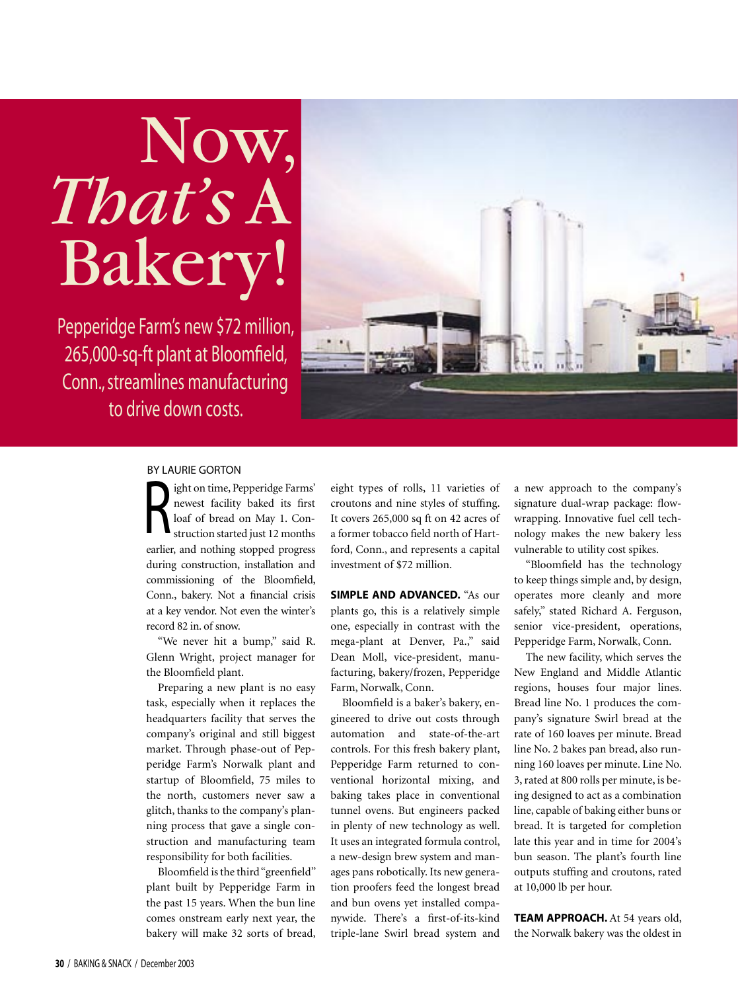## Now, *That's* A Bakery!

Pepperidge Farm's new \$72 million, 265,000-sq-ft plant at Bloomfield, Conn., streamlines manufacturing to drive down costs.



## BY LAURIE GORTON

Suppose the person of time, Pepperidge Farms'<br>
Revest facility baked its first<br>
loaf of bread on May 1. Construction started just 12 months newest facility baked its first loaf of bread on May 1. Construction started just 12 months earlier, and nothing stopped progress during construction, installation and commissioning of the Bloomfield, Conn., bakery. Not a financial crisis at a key vendor. Not even the winter's record 82 in. of snow.

"We never hit a bump," said R. Glenn Wright, project manager for the Bloomfield plant.

Preparing a new plant is no easy task, especially when it replaces the headquarters facility that serves the company's original and still biggest market. Through phase-out of Pepperidge Farm's Norwalk plant and startup of Bloomfield, 75 miles to the north, customers never saw a glitch, thanks to the company's planning process that gave a single construction and manufacturing team responsibility for both facilities.

Bloomfield is the third "greenfield" plant built by Pepperidge Farm in the past 15 years. When the bun line comes onstream early next year, the bakery will make 32 sorts of bread,

eight types of rolls, 11 varieties of croutons and nine styles of stuffing. It covers 265,000 sq ft on 42 acres of a former tobacco field north of Hartford, Conn., and represents a capital investment of \$72 million.

**SIMPLE AND ADVANCED.** "As our plants go, this is a relatively simple one, especially in contrast with the mega-plant at Denver, Pa.," said Dean Moll, vice-president, manufacturing, bakery/frozen, Pepperidge Farm, Norwalk, Conn.

Bloomfield is a baker's bakery, engineered to drive out costs through automation and state-of-the-art controls. For this fresh bakery plant, Pepperidge Farm returned to conventional horizontal mixing, and baking takes place in conventional tunnel ovens. But engineers packed in plenty of new technology as well. It uses an integrated formula control, a new-design brew system and manages pans robotically. Its new generation proofers feed the longest bread and bun ovens yet installed companywide. There's a first-of-its-kind triple-lane Swirl bread system and a new approach to the company's signature dual-wrap package: flowwrapping. Innovative fuel cell technology makes the new bakery less vulnerable to utility cost spikes.

"Bloomfield has the technology to keep things simple and, by design, operates more cleanly and more safely," stated Richard A. Ferguson, senior vice-president, operations, Pepperidge Farm, Norwalk, Conn.

The new facility, which serves the New England and Middle Atlantic regions, houses four major lines. Bread line No. 1 produces the company's signature Swirl bread at the rate of 160 loaves per minute. Bread line No. 2 bakes pan bread, also running 160 loaves per minute. Line No. 3, rated at 800 rolls per minute, is being designed to act as a combination line, capable of baking either buns or bread. It is targeted for completion late this year and in time for 2004's bun season. The plant's fourth line outputs stuffing and croutons, rated at 10,000 lb per hour.

**TEAM APPROACH.** At 54 years old, the Norwalk bakery was the oldest in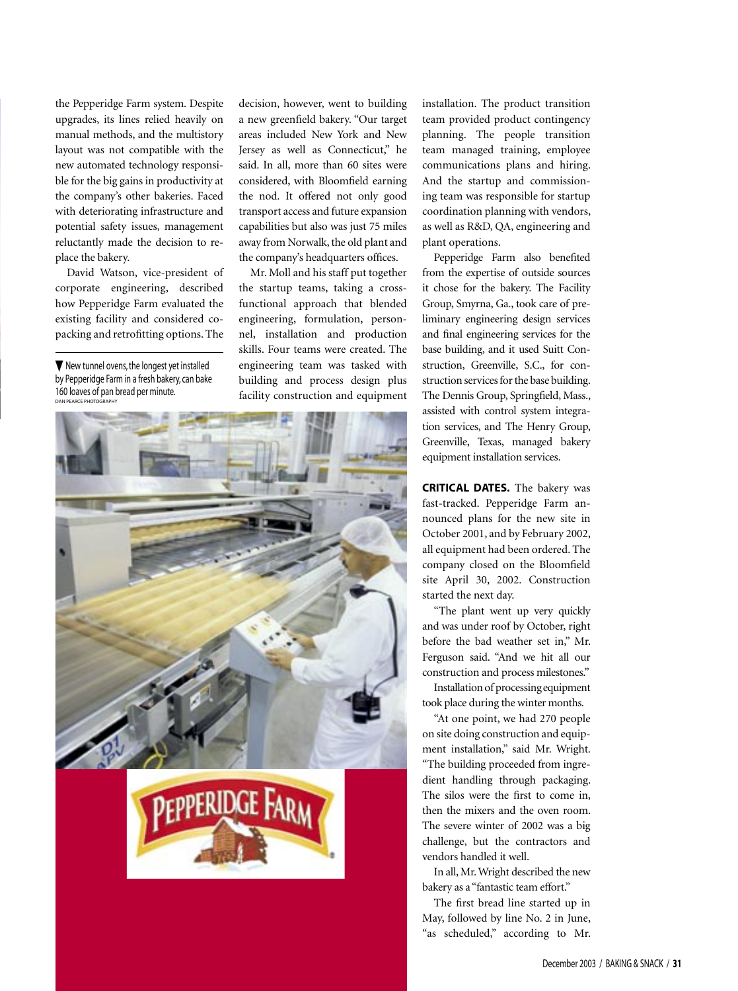the Pepperidge Farm system. Despite upgrades, its lines relied heavily on manual methods, and the multistory layout was not compatible with the new automated technology responsible for the big gains in productivity at the company's other bakeries. Faced with deteriorating infrastructure and potential safety issues, management reluctantly made the decision to replace the bakery.

David Watson, vice-president of corporate engineering, described how Pepperidge Farm evaluated the existing facility and considered copacking and retrofitting options. The

 $\nabla$  New tunnel ovens, the longest yet installed by Pepperidge Farm in a fresh bakery, can bake 160 loaves of pan bread per minute. DAN PEARCE PHOTOGRAPHY

decision, however, went to building a new greenfield bakery. "Our target areas included New York and New Jersey as well as Connecticut," he said. In all, more than 60 sites were considered, with Bloomfield earning the nod. It offered not only good transport access and future expansion capabilities but also was just 75 miles away from Norwalk, the old plant and the company's headquarters offices.

Mr. Moll and his staff put together the startup teams, taking a crossfunctional approach that blended engineering, formulation, personnel, installation and production skills. Four teams were created. The engineering team was tasked with building and process design plus facility construction and equipment



installation. The product transition team provided product contingency planning. The people transition team managed training, employee communications plans and hiring. And the startup and commissioning team was responsible for startup coordination planning with vendors, as well as R&D, QA, engineering and plant operations.

Pepperidge Farm also benefited from the expertise of outside sources it chose for the bakery. The Facility Group, Smyrna, Ga., took care of preliminary engineering design services and final engineering services for the base building, and it used Suitt Construction, Greenville, S.C., for construction services for the base building. The Dennis Group, Springfield, Mass., assisted with control system integration services, and The Henry Group, Greenville, Texas, managed bakery equipment installation services.

**CRITICAL DATES.** The bakery was fast-tracked. Pepperidge Farm announced plans for the new site in October 2001, and by February 2002, all equipment had been ordered. The company closed on the Bloomfield site April 30, 2002. Construction started the next day.

"The plant went up very quickly and was under roof by October, right before the bad weather set in," Mr. Ferguson said. "And we hit all our construction and process milestones."

Installation of processing equipment took place during the winter months.

"At one point, we had 270 people on site doing construction and equipment installation," said Mr. Wright. "The building proceeded from ingredient handling through packaging. The silos were the first to come in, then the mixers and the oven room. The severe winter of 2002 was a big challenge, but the contractors and vendors handled it well.

In all, Mr. Wright described the new bakery as a "fantastic team effort."

The first bread line started up in May, followed by line No. 2 in June, "as scheduled," according to Mr.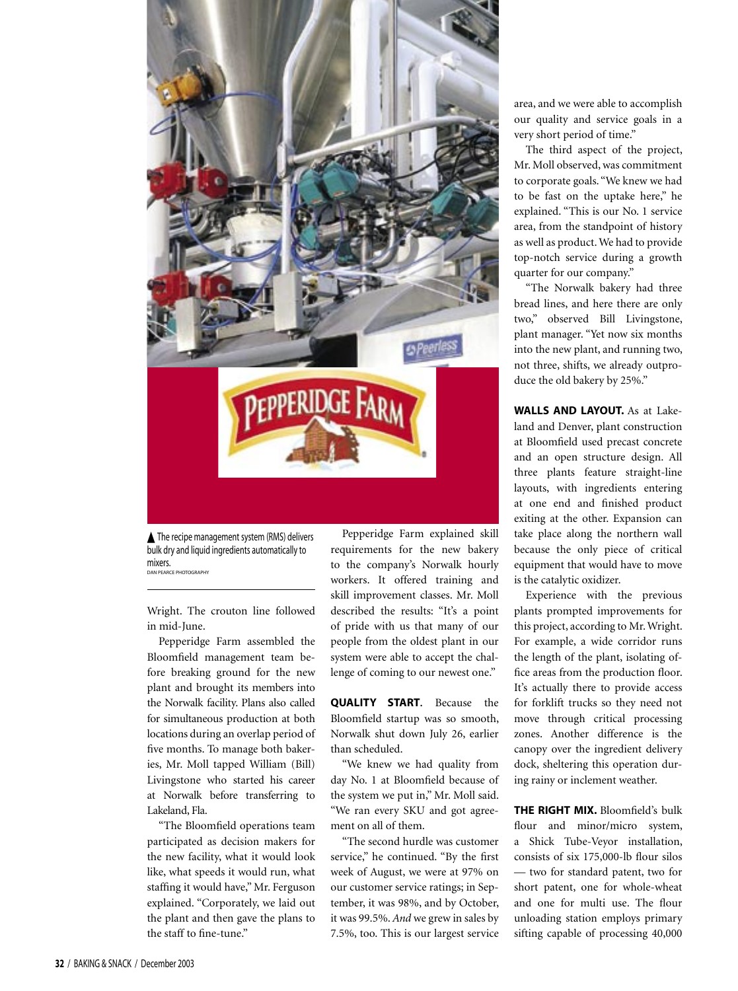

▲ The recipe management system (RMS) delivers bulk dry and liquid ingredients automatically to mixers. DAN PEARCE PHOTOGRAPHY

Wright. The crouton line followed in mid-June.

Pepperidge Farm assembled the Bloomfield management team before breaking ground for the new plant and brought its members into the Norwalk facility. Plans also called for simultaneous production at both locations during an overlap period of five months. To manage both bakeries, Mr. Moll tapped William (Bill) Livingstone who started his career at Norwalk before transferring to Lakeland, Fla.

"The Bloomfield operations team participated as decision makers for the new facility, what it would look like, what speeds it would run, what staffing it would have," Mr. Ferguson explained. "Corporately, we laid out the plant and then gave the plans to the staff to fine-tune."

Pepperidge Farm explained skill requirements for the new bakery to the company's Norwalk hourly workers. It offered training and skill improvement classes. Mr. Moll described the results: "It's a point of pride with us that many of our people from the oldest plant in our system were able to accept the challenge of coming to our newest one."

**QUALITY START.** Because the Bloomfield startup was so smooth, Norwalk shut down July 26, earlier than scheduled.

"We knew we had quality from day No. 1 at Bloomfield because of the system we put in," Mr. Moll said. "We ran every SKU and got agreement on all of them.

"The second hurdle was customer service," he continued. "By the first week of August, we were at 97% on our customer service ratings; in September, it was 98%, and by October, it was 99.5%. *And* we grew in sales by 7.5%, too. This is our largest service

area, and we were able to accomplish our quality and service goals in a very short period of time."

The third aspect of the project, Mr. Moll observed, was commitment to corporate goals. "We knew we had to be fast on the uptake here," he explained. "This is our No. 1 service area, from the standpoint of history as well as product. We had to provide top-notch service during a growth quarter for our company."

"The Norwalk bakery had three bread lines, and here there are only two," observed Bill Livingstone, plant manager. "Yet now six months into the new plant, and running two, not three, shifts, we already outproduce the old bakery by 25%."

**WALLS AND LAYOUT.** As at Lakeland and Denver, plant construction at Bloomfield used precast concrete and an open structure design. All three plants feature straight-line layouts, with ingredients entering at one end and finished product exiting at the other. Expansion can take place along the northern wall because the only piece of critical equipment that would have to move is the catalytic oxidizer.

Experience with the previous plants prompted improvements for this project, according to Mr. Wright. For example, a wide corridor runs the length of the plant, isolating office areas from the production floor. It's actually there to provide access for forklift trucks so they need not move through critical processing zones. Another difference is the canopy over the ingredient delivery dock, sheltering this operation during rainy or inclement weather.

**THE RIGHT MIX.** Bloomfield's bulk flour and minor/micro system, a Shick Tube-Veyor installation, consists of six 175,000-lb flour silos — two for standard patent, two for short patent, one for whole-wheat and one for multi use. The flour unloading station employs primary sifting capable of processing 40,000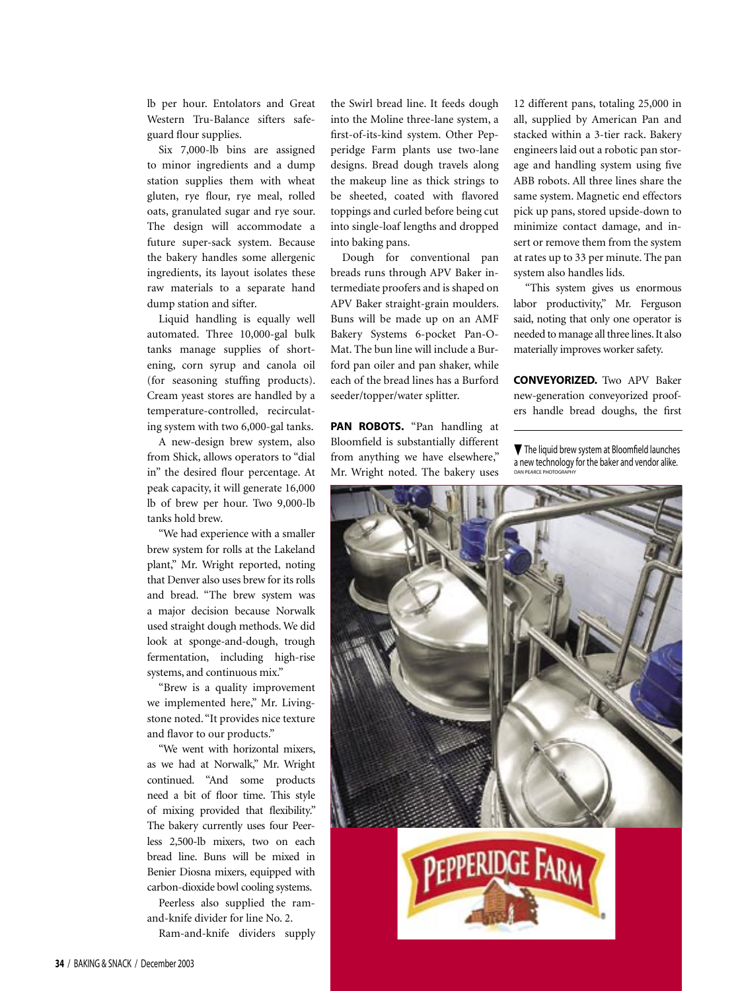lb per hour. Entolators and Great Western Tru-Balance sifters safeguard flour supplies.

Six 7,000-lb bins are assigned to minor ingredients and a dump station supplies them with wheat gluten, rye flour, rye meal, rolled oats, granulated sugar and rye sour. The design will accommodate a future super-sack system. Because the bakery handles some allergenic ingredients, its layout isolates these raw materials to a separate hand dump station and sifter.

Liquid handling is equally well automated. Three 10,000-gal bulk tanks manage supplies of shortening, corn syrup and canola oil (for seasoning stuffing products). Cream yeast stores are handled by a temperature-controlled, recirculating system with two 6,000-gal tanks.

A new-design brew system, also from Shick, allows operators to "dial in" the desired flour percentage. At peak capacity, it will generate 16,000 lb of brew per hour. Two 9,000-lb tanks hold brew.

"We had experience with a smaller brew system for rolls at the Lakeland plant," Mr. Wright reported, noting that Denver also uses brew for its rolls and bread. "The brew system was a major decision because Norwalk used straight dough methods. We did look at sponge-and-dough, trough fermentation, including high-rise systems, and continuous mix."

"Brew is a quality improvement we implemented here," Mr. Livingstone noted. "It provides nice texture and flavor to our products."

"We went with horizontal mixers, as we had at Norwalk," Mr. Wright continued. "And some products need a bit of floor time. This style of mixing provided that flexibility." The bakery currently uses four Peerless 2,500-lb mixers, two on each bread line. Buns will be mixed in Benier Diosna mixers, equipped with carbon-dioxide bowl cooling systems.

Peerless also supplied the ramand-knife divider for line No. 2.

Ram-and-knife dividers supply

the Swirl bread line. It feeds dough into the Moline three-lane system, a first-of-its-kind system. Other Pepperidge Farm plants use two-lane designs. Bread dough travels along the makeup line as thick strings to be sheeted, coated with flavored toppings and curled before being cut into single-loaf lengths and dropped into baking pans.

Dough for conventional pan breads runs through APV Baker intermediate proofers and is shaped on APV Baker straight-grain moulders. Buns will be made up on an AMF Bakery Systems 6-pocket Pan-O-Mat. The bun line will include a Burford pan oiler and pan shaker, while each of the bread lines has a Burford seeder/topper/water splitter.

**PAN ROBOTS.** "Pan handling at Bloomfield is substantially different from anything we have elsewhere," Mr. Wright noted. The bakery uses 12 different pans, totaling 25,000 in all, supplied by American Pan and stacked within a 3-tier rack. Bakery engineers laid out a robotic pan storage and handling system using five ABB robots. All three lines share the same system. Magnetic end effectors pick up pans, stored upside-down to minimize contact damage, and insert or remove them from the system at rates up to 33 per minute. The pan system also handles lids.

"This system gives us enormous labor productivity," Mr. Ferguson said, noting that only one operator is needed to manage all three lines. It also materially improves worker safety.

**CONVEYORIZED.** Two APV Baker new-generation conveyorized proofers handle bread doughs, the first

▼ The liquid brew system at Bloomfield launches a new technology for the baker and vendor alike. DAN PEARCE PHOTOGRAPHY

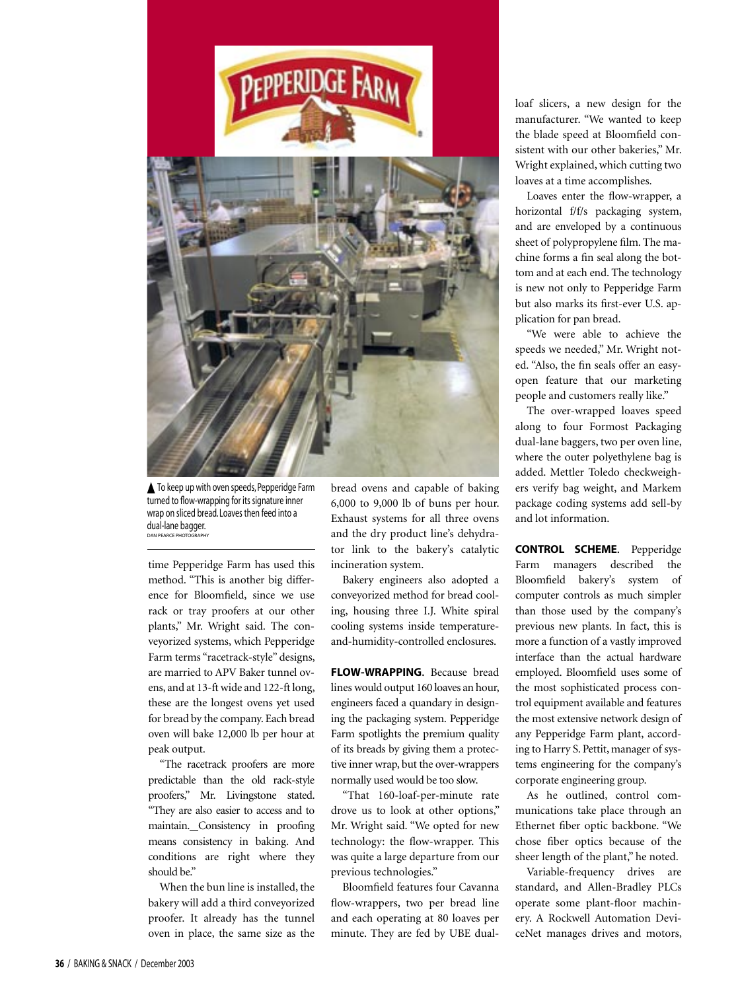

**▲** To keep up with oven speeds, Pepperidge Farm turned to flow-wrapping for its signature inner wrap on sliced bread. Loaves then feed into a dual-lane bagger. DAN PEARCE PHOTOGRAPHY

time Pepperidge Farm has used this method. "This is another big difference for Bloomfield, since we use rack or tray proofers at our other plants," Mr. Wright said. The conveyorized systems, which Pepperidge Farm terms "racetrack-style" designs, are married to APV Baker tunnel ovens, and at 13-ft wide and 122-ft long, these are the longest ovens yet used for bread by the company. Each bread oven will bake 12,000 lb per hour at peak output.

"The racetrack proofers are more predictable than the old rack-style proofers," Mr. Livingstone stated. "They are also easier to access and to maintain. Consistency in proofing means consistency in baking. And conditions are right where they should be."

When the bun line is installed, the bakery will add a third conveyorized proofer. It already has the tunnel oven in place, the same size as the

bread ovens and capable of baking 6,000 to 9,000 lb of buns per hour. Exhaust systems for all three ovens and the dry product line's dehydrator link to the bakery's catalytic incineration system.

Bakery engineers also adopted a conveyorized method for bread cooling, housing three I.J. White spiral cooling systems inside temperatureand-humidity-controlled enclosures.

**FLOW-WRAPPING.** Because bread lines would output 160 loaves an hour, engineers faced a quandary in designing the packaging system. Pepperidge Farm spotlights the premium quality of its breads by giving them a protective inner wrap, but the over-wrappers normally used would be too slow.

"That 160-loaf-per-minute rate drove us to look at other options," Mr. Wright said. "We opted for new technology: the flow-wrapper. This was quite a large departure from our previous technologies."

Bloomfield features four Cavanna flow-wrappers, two per bread line and each operating at 80 loaves per minute. They are fed by UBE dualloaf slicers, a new design for the manufacturer. "We wanted to keep the blade speed at Bloomfield consistent with our other bakeries," Mr. Wright explained, which cutting two loaves at a time accomplishes.

Loaves enter the flow-wrapper, a horizontal f/f/s packaging system, and are enveloped by a continuous sheet of polypropylene film. The machine forms a fin seal along the bottom and at each end. The technology is new not only to Pepperidge Farm but also marks its first-ever U.S. application for pan bread.

"We were able to achieve the speeds we needed," Mr. Wright noted. "Also, the fin seals offer an easyopen feature that our marketing people and customers really like."

The over-wrapped loaves speed along to four Formost Packaging dual-lane baggers, two per oven line, where the outer polyethylene bag is added. Mettler Toledo checkweighers verify bag weight, and Markem package coding systems add sell-by and lot information.

**CONTROL SCHEME.** Pepperidge Farm managers described the Bloomfield bakery's system of computer controls as much simpler than those used by the company's previous new plants. In fact, this is more a function of a vastly improved interface than the actual hardware employed. Bloomfield uses some of the most sophisticated process control equipment available and features the most extensive network design of any Pepperidge Farm plant, according to Harry S. Pettit, manager of systems engineering for the company's corporate engineering group.

As he outlined, control communications take place through an Ethernet fiber optic backbone. "We chose fiber optics because of the sheer length of the plant," he noted.

Variable-frequency drives are standard, and Allen-Bradley PLCs operate some plant-floor machinery. A Rockwell Automation DeviceNet manages drives and motors,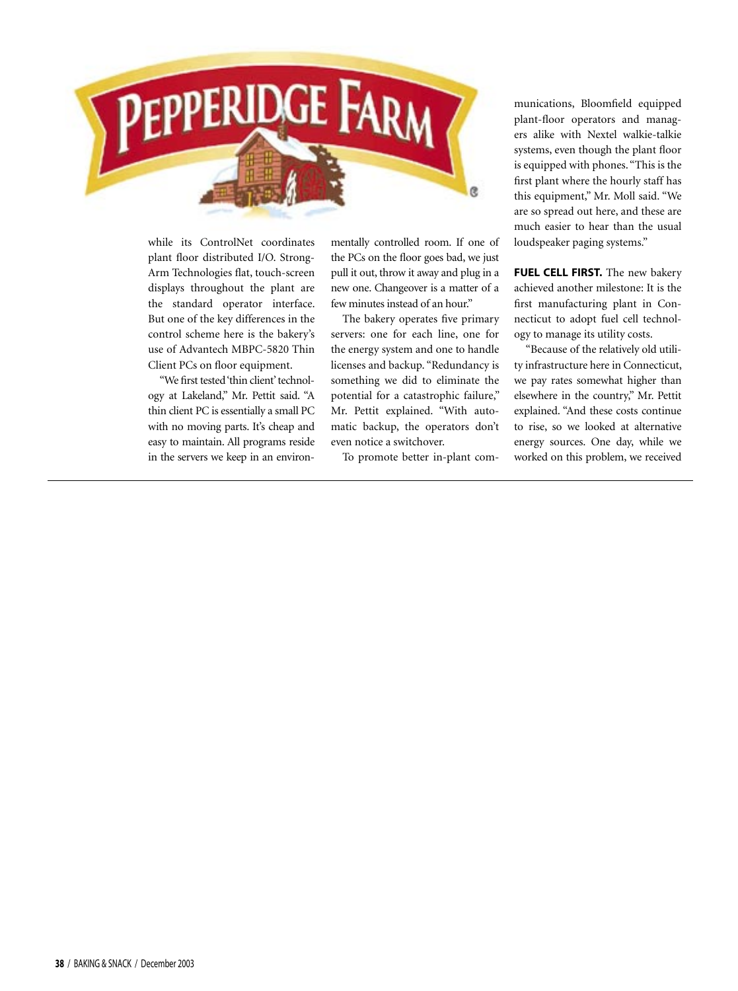

while its ControlNet coordinates plant floor distributed I/O. Strong-Arm Technologies flat, touch-screen displays throughout the plant are the standard operator interface. But one of the key differences in the control scheme here is the bakery's use of Advantech MBPC-5820 Thin Client PCs on floor equipment.

"We first tested 'thin client' technology at Lakeland," Mr. Pettit said. "A thin client PC is essentially a small PC with no moving parts. It's cheap and easy to maintain. All programs reside in the servers we keep in an environmentally controlled room. If one of the PCs on the floor goes bad, we just pull it out, throw it away and plug in a new one. Changeover is a matter of a few minutes instead of an hour."

The bakery operates five primary servers: one for each line, one for the energy system and one to handle licenses and backup. "Redundancy is something we did to eliminate the potential for a catastrophic failure," Mr. Pettit explained. "With automatic backup, the operators don't even notice a switchover.

To promote better in-plant com-

munications, Bloomfield equipped plant-floor operators and managers alike with Nextel walkie-talkie systems, even though the plant floor is equipped with phones. "This is the first plant where the hourly staff has this equipment," Mr. Moll said. "We are so spread out here, and these are much easier to hear than the usual loudspeaker paging systems."

**FUEL CELL FIRST.** The new bakery achieved another milestone: It is the first manufacturing plant in Connecticut to adopt fuel cell technology to manage its utility costs.

"Because of the relatively old utility infrastructure here in Connecticut, we pay rates somewhat higher than elsewhere in the country," Mr. Pettit explained. "And these costs continue to rise, so we looked at alternative energy sources. One day, while we worked on this problem, we received